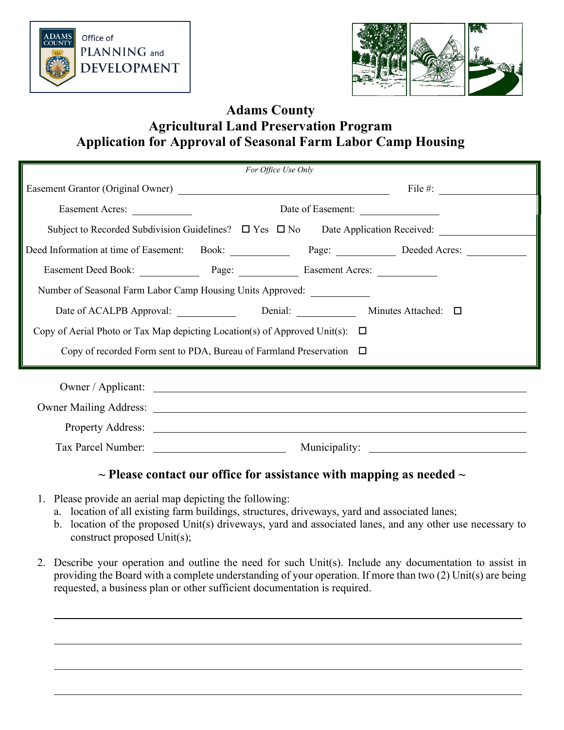



# **Adams County Agricultural Land Preservation Program Application for Approval of Seasonal Farm Labor Camp Housing**

|                                                                                   |  | For Office Use Only |               |                                                                                                     |  |  |
|-----------------------------------------------------------------------------------|--|---------------------|---------------|-----------------------------------------------------------------------------------------------------|--|--|
|                                                                                   |  |                     |               | File #: $\qquad \qquad \qquad$                                                                      |  |  |
| Easement Acres:                                                                   |  |                     |               | Date of Easement:                                                                                   |  |  |
|                                                                                   |  |                     |               | Subject to Recorded Subdivision Guidelines? □ Yes □ No Date Application Received: _________________ |  |  |
|                                                                                   |  |                     |               | Deed Information at time of Easement: Book: Page: Deeded Acres:                                     |  |  |
| Easement Deed Book: Page: Page: Easement Acres:                                   |  |                     |               |                                                                                                     |  |  |
| Number of Seasonal Farm Labor Camp Housing Units Approved: _______________        |  |                     |               |                                                                                                     |  |  |
| Date of ACALPB Approval: Denial:                                                  |  |                     |               | Minutes Attached: $\square$                                                                         |  |  |
| Copy of Aerial Photo or Tax Map depicting Location(s) of Approved Unit(s): $\Box$ |  |                     |               |                                                                                                     |  |  |
| Copy of recorded Form sent to PDA, Bureau of Farmland Preservation $\Box$         |  |                     |               |                                                                                                     |  |  |
|                                                                                   |  |                     |               |                                                                                                     |  |  |
|                                                                                   |  |                     |               |                                                                                                     |  |  |
|                                                                                   |  |                     |               |                                                                                                     |  |  |
|                                                                                   |  |                     |               |                                                                                                     |  |  |
|                                                                                   |  |                     | Municipality: | <u> 1989 - Johann Stein, fransk politik (</u>                                                       |  |  |

## **~ Please contact our office for assistance with mapping as needed ~**

- 1. Please provide an aerial map depicting the following:
	- a. location of all existing farm buildings, structures, driveways, yard and associated lanes;
	- b. location of the proposed Unit(s) driveways, yard and associated lanes, and any other use necessary to construct proposed Unit(s);
- 2. Describe your operation and outline the need for such Unit(s). Include any documentation to assist in providing the Board with a complete understanding of your operation. If more than two (2) Unit(s) are being requested, a business plan or other sufficient documentation is required.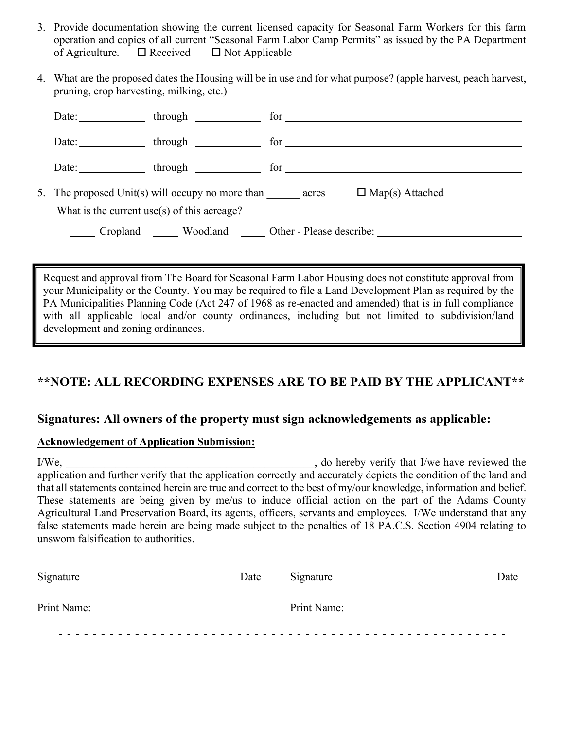- 3. Provide documentation showing the current licensed capacity for Seasonal Farm Workers for this farm operation and copies of all current "Seasonal Farm Labor Camp Permits" as issued by the PA Department of Agriculture.  $\Box$  Received  $\Box$  Not Applicable
- 4. What are the proposed dates the Housing will be in use and for what purpose? (apple harvest, peach harvest, pruning, crop harvesting, milking, etc.)

| Date:    | through the control of the control of the control of the control of the control of the control of the control o |     |                        |
|----------|-----------------------------------------------------------------------------------------------------------------|-----|------------------------|
| Date:    | $through \_\_$                                                                                                  |     |                        |
| Date:    | through the control of the control of the control of the control of the control of the control of the control o | for |                        |
|          | 5. The proposed Unit(s) will occupy no more than acres                                                          |     | $\Box$ Map(s) Attached |
|          | What is the current use(s) of this acreage?                                                                     |     |                        |
| Cropland | Woodland Other - Please describe:                                                                               |     |                        |

Request and approval from The Board for Seasonal Farm Labor Housing does not constitute approval from your Municipality or the County. You may be required to file a Land Development Plan as required by the PA Municipalities Planning Code (Act 247 of 1968 as re-enacted and amended) that is in full compliance with all applicable local and/or county ordinances, including but not limited to subdivision/land development and zoning ordinances.

# **\*\*NOTE: ALL RECORDING EXPENSES ARE TO BE PAID BY THE APPLICANT\*\***

### **Signatures: All owners of the property must sign acknowledgements as applicable:**

#### **Acknowledgement of Application Submission:**

I/We, and the same of the state of the state of the state of the state of the state of the state of the state of the state of the state of the state of the state of the state of the state of the state of the state of the s application and further verify that the application correctly and accurately depicts the condition of the land and that all statements contained herein are true and correct to the best of my/our knowledge, information and belief. These statements are being given by me/us to induce official action on the part of the Adams County Agricultural Land Preservation Board, its agents, officers, servants and employees. I/We understand that any false statements made herein are being made subject to the penalties of 18 PA.C.S. Section 4904 relating to unsworn falsification to authorities.

| Signature   | Date | Signature   | Date |
|-------------|------|-------------|------|
| Print Name: |      | Print Name: |      |
|             |      |             |      |